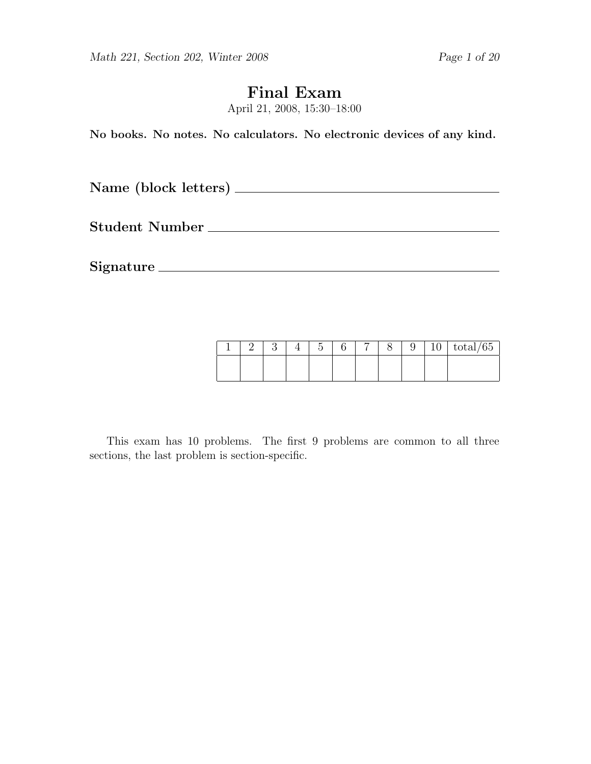# Final Exam

April 21, 2008, 15:30–18:00

No books. No notes. No calculators. No electronic devices of any kind.

Name (block letters)

Student Number

Signature

|  |  | $\tilde{\phantom{a}}$ | – | ◡ | ٠<br>ΙU | $\sqrt{2}$<br>total/65 |
|--|--|-----------------------|---|---|---------|------------------------|
|  |  |                       |   |   |         |                        |

This exam has 10 problems. The first 9 problems are common to all three sections, the last problem is section-specific.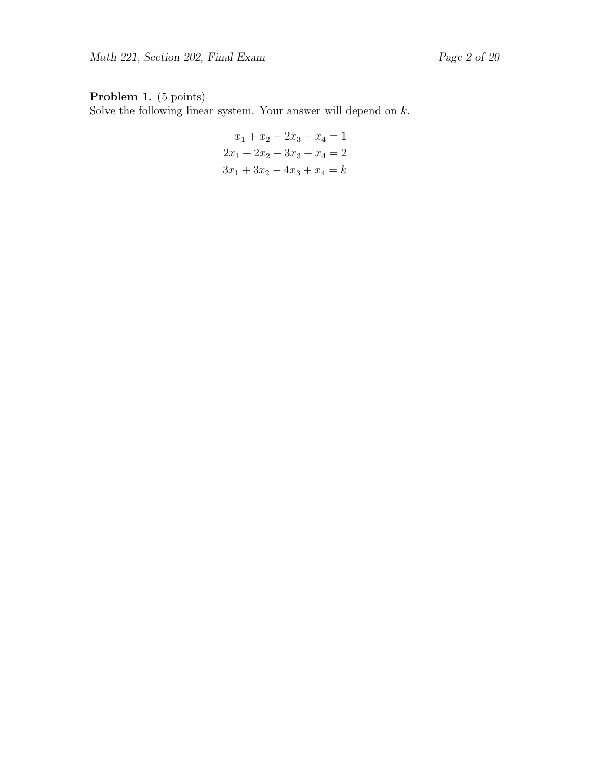Solve the following linear system. Your answer will depend on  $k$ .

$$
x_1 + x_2 - 2x_3 + x_4 = 1
$$
  

$$
2x_1 + 2x_2 - 3x_3 + x_4 = 2
$$
  

$$
3x_1 + 3x_2 - 4x_3 + x_4 = k
$$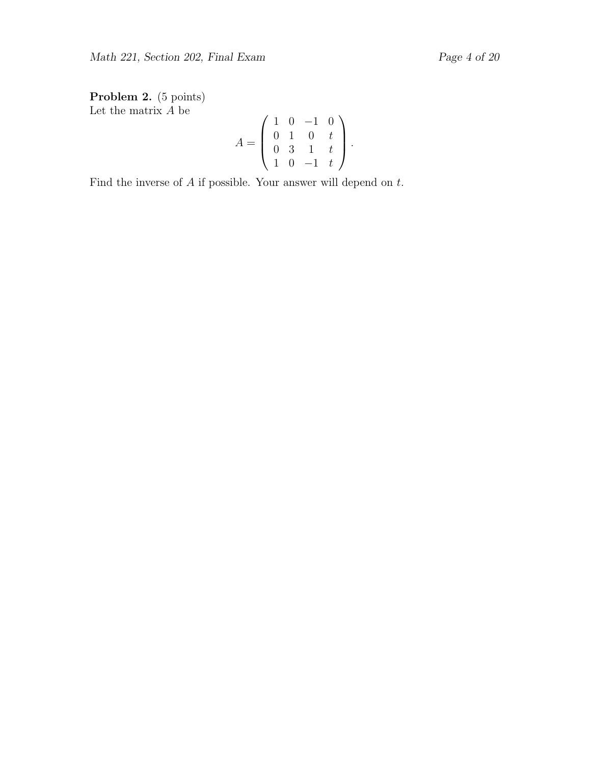Problem 2. (5 points) Let the matrix  $A$  be

$$
A = \left(\begin{array}{rrr} 1 & 0 & -1 & 0 \\ 0 & 1 & 0 & t \\ 0 & 3 & 1 & t \\ 1 & 0 & -1 & t \end{array}\right).
$$

Find the inverse of  $A$  if possible. Your answer will depend on  $t$ .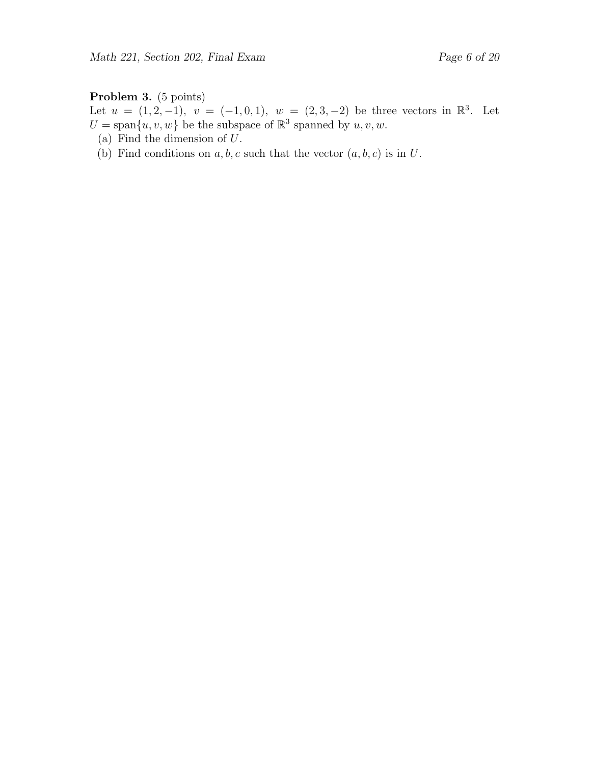#### Problem 3. (5 points)

Let  $u = (1, 2, -1), v = (-1, 0, 1), w = (2, 3, -2)$  be three vectors in  $\mathbb{R}^3$ . Let  $U = \text{span}\{u, v, w\}$  be the subspace of  $\mathbb{R}^3$  spanned by  $u, v, w$ .

- (a) Find the dimension of U.
- (b) Find conditions on  $a, b, c$  such that the vector  $(a, b, c)$  is in U.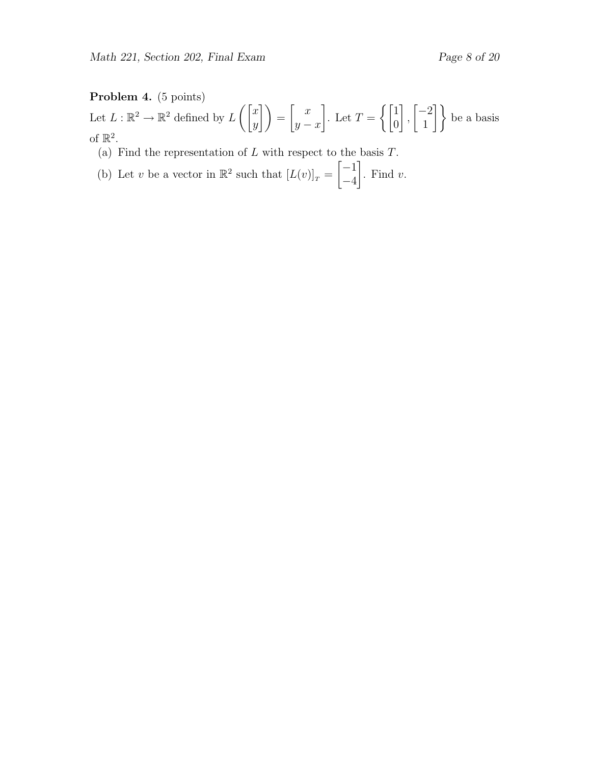#### Problem 4. (5 points)

Let  $L : \mathbb{R}^2 \to \mathbb{R}^2$  defined by  $L\left(\begin{bmatrix} x \\ y \end{bmatrix}\right)$  $\begin{pmatrix} x \ y \end{pmatrix} = \begin{pmatrix} x \ y \end{pmatrix}$  $y - x$ 1 . Let  $T = \begin{cases} 1 & \text{if } \\ 0 & \text{otherwise.} \end{cases}$ 0 1 ,  $\lceil -2 \rceil$  $\begin{bmatrix} -2 \\ 1 \end{bmatrix}$  be a basis of  $\mathbb{R}^2$ .

- (a) Find the representation of  $L$  with respect to the basis  $T$ .
- (b) Let v be a vector in  $\mathbb{R}^2$  such that  $[L(v)]_T =$  $[-1]$ −4 1 . Find  $v$ .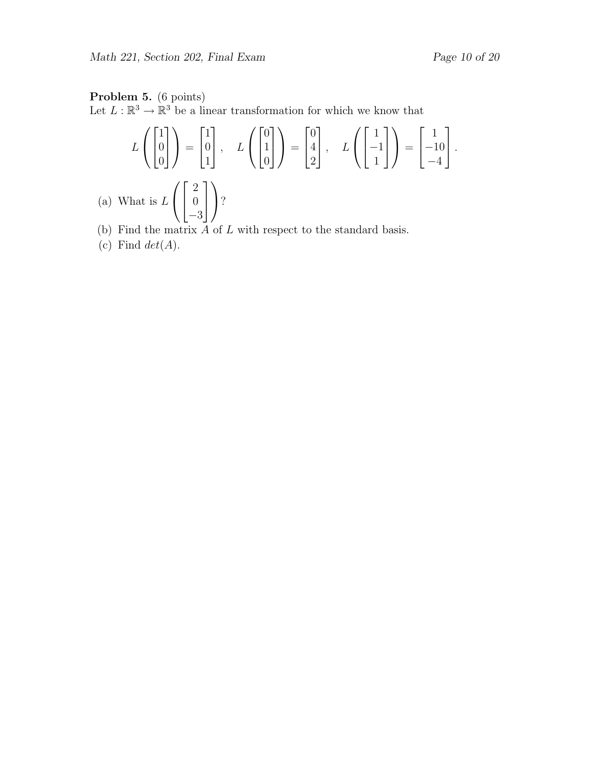## Problem 5. (6 points)

Let  $L : \mathbb{R}^3 \to \mathbb{R}^3$  be a linear transformation for which we know that

$$
L\left(\begin{bmatrix} 1 \\ 0 \\ 0 \end{bmatrix}\right) = \begin{bmatrix} 1 \\ 0 \\ 1 \end{bmatrix}, \quad L\left(\begin{bmatrix} 0 \\ 1 \\ 0 \end{bmatrix}\right) = \begin{bmatrix} 0 \\ 4 \\ 2 \end{bmatrix}, \quad L\left(\begin{bmatrix} 1 \\ -1 \\ 1 \end{bmatrix}\right) = \begin{bmatrix} 1 \\ -10 \\ -4 \end{bmatrix}.
$$
  
What is  $L\left(\begin{bmatrix} 2 \\ 0 \\ -3 \end{bmatrix}\right)$ ?

- (b) Find the matrix  $A$  of  $L$  with respect to the standard basis.
- (c) Find  $det(A)$ .

 $(a)$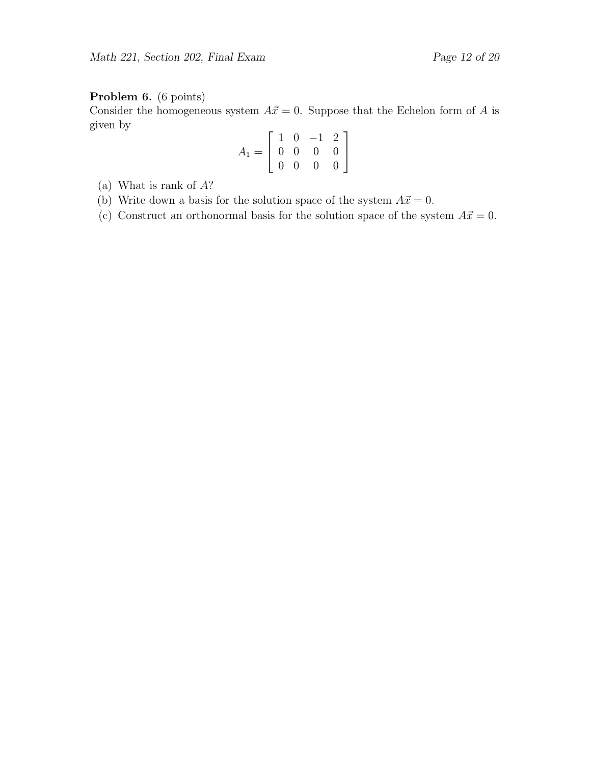### Problem 6. (6 points)

Consider the homogeneous system  $A\vec{x} = 0$ . Suppose that the Echelon form of A is given by

$$
A_1 = \left[ \begin{array}{rrr} 1 & 0 & -1 & 2 \\ 0 & 0 & 0 & 0 \\ 0 & 0 & 0 & 0 \end{array} \right]
$$

- (a) What is rank of A?
- (b) Write down a basis for the solution space of the system  $A\vec{x} = 0$ .
- (c) Construct an orthonormal basis for the solution space of the system  $A\vec{x} = 0$ .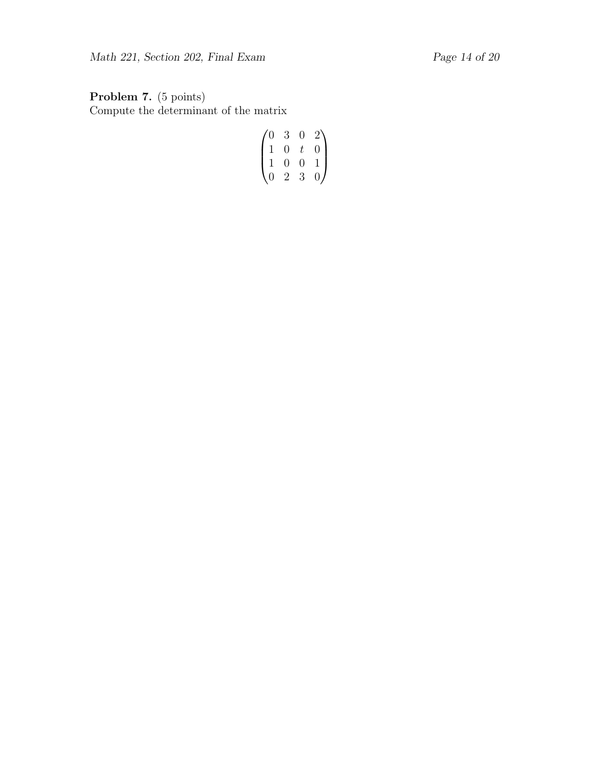Problem 7. (5 points) Compute the determinant of the matrix

$$
\begin{pmatrix} 0 & 3 & 0 & 2 \\ 1 & 0 & t & 0 \\ 1 & 0 & 0 & 1 \\ 0 & 2 & 3 & 0 \end{pmatrix}
$$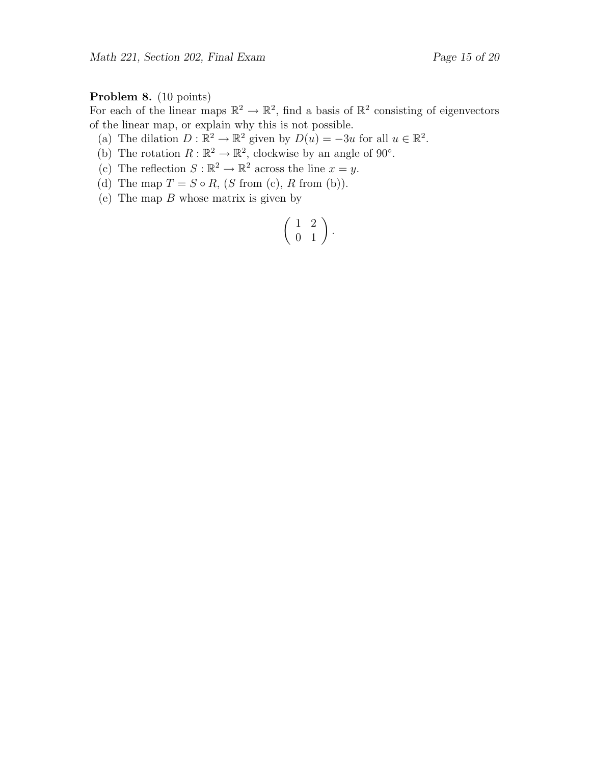#### Problem 8. (10 points)

For each of the linear maps  $\mathbb{R}^2 \to \mathbb{R}^2$ , find a basis of  $\mathbb{R}^2$  consisting of eigenvectors of the linear map, or explain why this is not possible.

(a) The dilation  $D : \mathbb{R}^2 \to \mathbb{R}^2$  given by  $D(u) = -3u$  for all  $u \in \mathbb{R}^2$ .

- (b) The rotation  $R : \mathbb{R}^2 \to \mathbb{R}^2$ , clockwise by an angle of 90°.
- (c) The reflection  $S : \mathbb{R}^2 \to \mathbb{R}^2$  across the line  $x = y$ .
- (d) The map  $T = S \circ R$ ,  $(S \text{ from } (c), R \text{ from } (b)).$
- (e) The map  $B$  whose matrix is given by

$$
\left(\begin{array}{cc} 1 & 2 \\ 0 & 1 \end{array}\right).
$$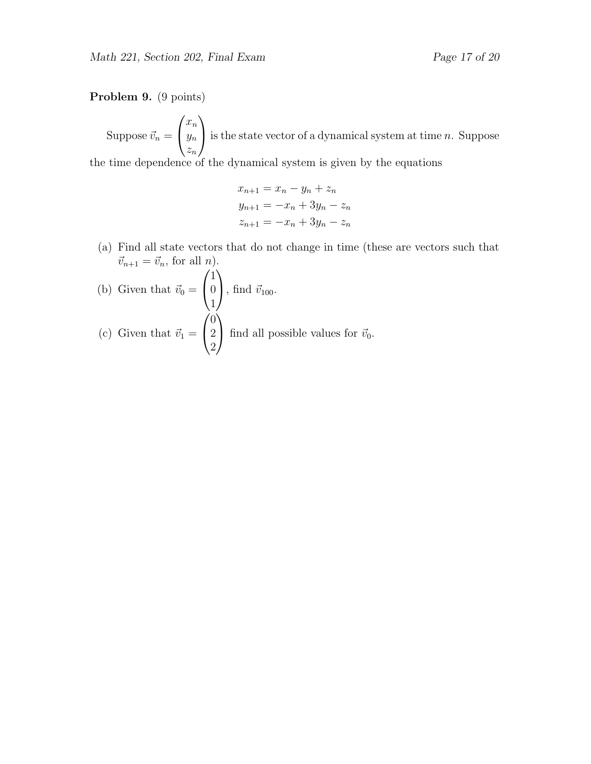#### Problem 9. (9 points)

Suppose  $\vec{v}_n =$  $\sqrt{ }$  $\mathcal{L}$  $\bar{x}_n$  $y_n$  $z_n$  $\setminus$ is the state vector of a dynamical system at time  $n$ . Suppose

the time dependence of the dynamical system is given by the equations

$$
x_{n+1} = x_n - y_n + z_n
$$
  
\n
$$
y_{n+1} = -x_n + 3y_n - z_n
$$
  
\n
$$
z_{n+1} = -x_n + 3y_n - z_n
$$

(a) Find all state vectors that do not change in time (these are vectors such that  $\vec{v}_{n+1} = \vec{v}_n$ , for all *n*).

(b) Given that 
$$
\vec{v}_0 = \begin{pmatrix} 1 \\ 0 \\ 1 \end{pmatrix}
$$
, find  $\vec{v}_{100}$ .  
\n(c) Given that  $\vec{v}_1 = \begin{pmatrix} 0 \\ 2 \\ 2 \end{pmatrix}$  find all possible values for  $\vec{v}_0$ .